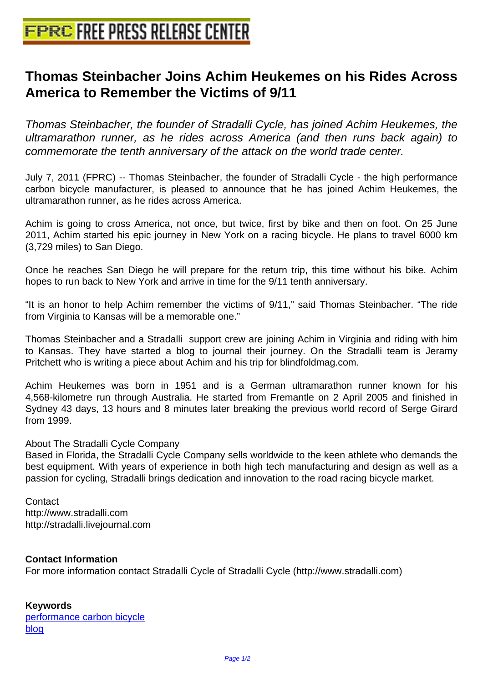## **[Thomas Steinbacher Joins Achim](http://www.free-press-release-center.info) Heukemes on his Rides Across America to Remember the Victims of 9/11**

Thomas Steinbacher, the founder of Stradalli Cycle, has joined Achim Heukemes, the ultramarathon runner, as he rides across America (and then runs back again) to commemorate the tenth anniversary of the attack on the world trade center.

July 7, 2011 (FPRC) -- Thomas Steinbacher, the founder of Stradalli Cycle - the high performance carbon bicycle manufacturer, is pleased to announce that he has joined Achim Heukemes, the ultramarathon runner, as he rides across America.

Achim is going to cross America, not once, but twice, first by bike and then on foot. On 25 June 2011, Achim started his epic journey in New York on a racing bicycle. He plans to travel 6000 km (3,729 miles) to San Diego.

Once he reaches San Diego he will prepare for the return trip, this time without his bike. Achim hopes to run back to New York and arrive in time for the 9/11 tenth anniversary.

"It is an honor to help Achim remember the victims of 9/11," said Thomas Steinbacher. "The ride from Virginia to Kansas will be a memorable one."

Thomas Steinbacher and a Stradalli support crew are joining Achim in Virginia and riding with him to Kansas. They have started a blog to journal their journey. On the Stradalli team is Jeramy Pritchett who is writing a piece about Achim and his trip for blindfoldmag.com.

Achim Heukemes was born in 1951 and is a German ultramarathon runner known for his 4,568-kilometre run through Australia. He started from Fremantle on 2 April 2005 and finished in Sydney 43 days, 13 hours and 8 minutes later breaking the previous world record of Serge Girard from 1999.

## About The Stradalli Cycle Company

Based in Florida, the Stradalli Cycle Company sells worldwide to the keen athlete who demands the best equipment. With years of experience in both high tech manufacturing and design as well as a passion for cycling, Stradalli brings dedication and innovation to the road racing bicycle market.

**Contact** http://www.stradalli.com http://stradalli.livejournal.com

## **Contact Information**

For more information contact Stradalli Cycle of Stradalli Cycle (http://www.stradalli.com)

## **Keywords**

performance carbon bicycle blog